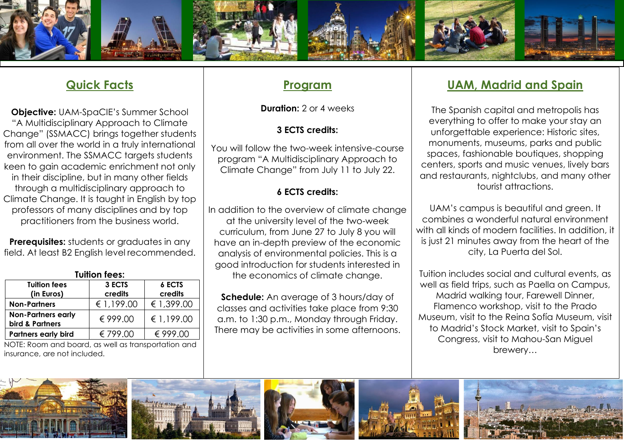

## **Quick Facts**

**Objective:** UAM-SpaCIE's Summer School "A Multidisciplinary Approach to Climate Change" (SSMACC) brings together students from all over the world in a truly international environment. The SSMACC targets students keen to gain academic enrichment not only in their discipline, but in many other fields through a multidisciplinary approach to Climate Change. It is taught in English by top professors of many disciplines and by top practitioners from the business world.

**Prerequisites:** students or graduates in any field. At least B2 English level recommended.

| <b>Tuition fees:</b>                         |                   |                          |
|----------------------------------------------|-------------------|--------------------------|
| <b>Tuition fees</b><br>(in Euros)            | 3 ECTS<br>credits | <b>6 ECTS</b><br>credits |
| <b>Non-Partners</b>                          | € 1,199.00        | € 1,399.00               |
| <b>Non-Partners early</b><br>bird & Partners | € 999.00          | € 1,199.00               |
| <b>Partners early bird</b>                   | € 799.00          | € 999.00                 |

 NOTE: Room and board, as well as transportation and insurance, are not included.

### **Program**

**Duration:** 2 or 4 weeks

#### **3 ECTS credits:**

You will follow the two-week intensive-course program "A Multidisciplinary Approach to Climate Change" from July 11 to July 22.

#### **6 ECTS credits:**

In addition to the overview of climate change at the university level of the two-week curriculum, from June 27 to July 8 you will have an in-depth preview of the economic analysis of environmental policies. This is a good introduction for students interested in the economics of climate change.

**Schedule:** An average of 3 hours/day of classes and activities take place from 9:30 a.m. to 1:30 p.m., Monday through Friday. There may be activities in some afternoons.

## **UAM, Madrid and Spain**

The Spanish capital and metropolis has everything to offer to make your stay an unforgettable experience: Historic sites, monuments, museums, parks and public spaces, fashionable boutiques, shopping centers, sports and music venues, lively bars and restaurants, nightclubs, and many other tourist attractions.

UAM's campus is beautiful and green. It combines a wonderful natural environment with all kinds of modern facilities. In addition, it is just 21 minutes away from the heart of the city, La Puerta del Sol.

Tuition includes social and cultural events, as well as field trips, such as Paella on Campus, Madrid walking tour, Farewell Dinner, Flamenco workshop, visit to the Prado Museum, visit to the Reina Sofía Museum, visit to Madrid's Stock Market, visit to Spain's Congress, visit to Mahou-San Miguel brewery…